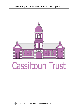

# **Cassiltoun Trust**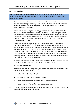# **1. Introduction**

*"The Governing Body leads and directs the organisation to achieve good outcomes for its tenants and other service users."* Regulatory Standards of Governance and Financial Management, Standard 1<sup>1</sup>

- 1.1 This role description has been prepared to set out the responsibilities that are associated with being a Governing Board Member of Cassiltoun Trust. It should be read in conjunction with the accompanying person specification and Cassiltoun Trust's Articles of Association.
- 1.2 Cassiltoun Trust is a company limited by guarantee. It is recognised as a charity and by OSCR (Office of the Scottish Charities Regulator). The role description reflects the principles of good governance and takes account of (and is compliant with) the expectations of the Regulatory Standards of Governance and Financial Management for Scottish RSLs and relevant guidance produced by the Office of the Scottish Charity Regulator (OSCR).
- 1.3 Cassiltoun Trust encourages people who are interested in the Trust's work to consider seeking election as a Governing Body Member and is committed to ensuring broad representation from the communities that it serves. Governing Body Members do not require 'qualifications' but, from time to time, we will seek to recruit people with specific skills and experience to add to or expand the existing range of skills and experience available to ensure that the governing body is able to fulfil its purpose. We carry out an annual review of the skills that we have and those that we need to inform our recruitment activities.
- 1.4 This role description applies to all members of the Governing Body, whether elected or co-opted, new or experienced. It is subject to periodic review.

# **2. Primary Responsibilities**

-

- 2.1 As a member of the Governing Body, your primary responsibilities are, with the other members of the Committee, to
	- Lead and direct Cassiltoun Trust's work
	- Promote and uphold Cassiltoun Trust's values
	- Set and monitor standards for service delivery and performance
	- Control Cassiltoun Trust's affairs and ensure compliance
- 2.2 Responsibility for the operational implementation of Cassiltoun Trust's strategies and policies is delegated to the Chief Officer.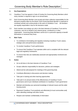# **3. Key Expectations**

- 3.1 Cassiltoun Trust has agreed a Code of Conduct for Governing Body Members which every member is required to sign on an annual basis.
- 3.2 Each Governing Body Member must accept and share collective responsibility for the decisions properly taken by the Board. Each Governing Body Member is expected to contribute actively and constructively to the work of Cassiltoun Trust. All members are equally responsible in law for the decisions made.
- 3.3 Each member must always act only in the best interests of Cassiltoun Trust and its customers, and not on behalf of any interest group, constituency or other organisation. Governing Body Members cannot act in a personal capacity to benefit themselves or someone they know.

## **4. Main Tasks**

- To contribute to formulating and regularly reviewing Cassiltoun Trust's values, strategic aims and performance standards
- To monitor Cassiltoun Trust's performance
- To ensure that Cassiltoun Trust operates within and is compliant with the relevant legal and regulatory frameworks
- To ensure that risks are realistically assessed and appropriately monitored and managed

# **5. Duties**

- Act at all times in the best interests of Cassiltoun Trust
- Accept collective responsibility for decisions, policies and strategies
- Attend and be well prepared for meetings of the governing body
- Contribute effectively to discussions and decision making
- Take part in training and other learning opportunities
- Take part in an annual review of the effectiveness of Cassiltoun Trust's governance and of your individual contribution to Cassiltoun Trust's governance
- Maintain and develop your personal knowledge of relevant issues and the wider housing sector
- Represent Cassiltoun Trust positively and effectively [in local communities and] when attending meetings and other events
- Respect and maintain confidentiality of information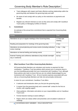- Treat colleagues with respect and foster effective working relationships within the governing body and between the governing body and staff
- Be aware of and comply with our policy on the restrictions on payments and benefits
- Register any relevant interests as soon as they arise and comply with Cassiltoun Trust's policy on Managing Conflicts of Interest

## **6. Commitment**

An estimate of the annual time commitment that is expected from Governing Body Members is

| <b>Activity</b>                                                                          | Time                       |
|------------------------------------------------------------------------------------------|----------------------------|
| Attendance at up to 4 regular meetings of the Governing Body                             | 1-2 hour per<br>meeting    |
| Reading and preparation for meetings of the governing body                               | 1 hour                     |
| Attendance at annual planning and review events (including individual<br>review meeting) | $\frac{1}{2}$ day $-1$ day |
| Attendance at internal briefing and training events                                      | Ad hoc                     |
| External Training and conference attendance (may include overnight<br>stay or weekend)   | Ad hoc                     |

# **7. What Cassiltoun Trust Offers Governing Body Members**

All Governing Body Members are volunteers and receive no payment for their contribution. Cassiltoun Trust has policies which prevent you or someone close to you from benefiting personally from your involvement with Cassiltoun Trust, although these policies also seek to ensure that you are not unfairly disadvantaged by your involvement with Cassiltoun Trust. All out of pocket expenses associated with your role as a Governing Body Members are fully met and promptly reimbursed.

In return for your commitment, Cassiltoun Trust offers:

- A welcome and introduction when you first join the governing body;
- A mentor from the governing body and a named staff contact for the first six months, with ongoing support
- Clear guidance, information and advice on your responsibilities and on Cassiltoun Trust's work
- Formal induction training to assist settling in
- Papers which are clearly written and presented, and circulated in advance of meetings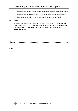- The opportunity to put your experience, skills and knowledge to constructive use
- The opportunity to develop your own knowledge, experience and personal skills
- The chance to network with others with shared commitment and ideals

# **8. Review**

This role description was approved by the Governing Body on **2 nd September 2015.** It will form the basis of the annual review of the effectiveness of your contribution to our governance. It will be reviewed by the Governing Body not later than **1 st September 2018.**

**Signed: …………………………………………………………………………………………**

**Date: …………………………………………………………………………………………**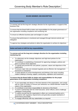# **BOARD MEMBER JOB DESCRIPTION**

# **Key Responsibilities**

To oversee and set the long term strategic direction for the organisation; in support of the Business Plan

To ensure that the Board fulfil its duties and responsibilities for the proper governance of the organisation including compliance and monitoring risk

To ensure an effective business plan and budget is in place

To ensure that performance is monitored and managed through internal controls and delegation

To approve key strategies and policies to allow the organisation to achieve its objectives

**Duties and tasks to fulfil the key responsibilities**

**To oversee and set the long term strategic direction for the organisation including monitoring risk**

- To collectively set the strategic objectives and high-level policies for the organisation
- To contribute to establishing a framework for approving strategies, policies and plans to achieve those objectives
- To uphold and promote the core policies, purposes, values and objectives of the organisation
- To ensure major risks are reviewed regularly and an effective risk management framework is maintained
- To keep abreast of current developments and thinking in the sector including matters relating to housing, support, social policy, regulation and investment

**To ensure that the Board fulfils its duties and responsibilities for the proper governance of the organisation including compliance**

- To act reasonably and always in the best interests of the organisation, and comply with its Code of Conduct; to ensure your behaviour as a Board Member models the values of the organisation
- To contribute to and share responsibility for decisions of the Board
- To work in partnership with the Chief Executive, senior officers; and to challenge colleagues constructively
- To satisfy yourself that the organisation's affairs are conducted lawfully and in accordance with regulatory requirements and generally accepted standards of performance and probity
- To engage effectively with key stakeholders as required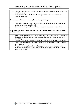- To comply fully with the Trust's Code of Governance; policies and procedures and standing orders
- Declare any conflicts of interest which may influence their work as a Board Member in any way

**To ensure an effective business plan and budget is in place**

- To satisfy yourself as to the integrity of financial information, and ensure that all loan covenants are complied with
- To approve each year's financial accounts prior to publication and budgets

#### **To ensure that performance is monitored and managed through internal controls and delegation**

- Ensure there are appropriate mechanisms, both internal and external, to verify that the Board receives a balanced and accurate picture of how the organisation is performing
- To ensure that internal controls and systems are audited and reviewed regularly
- To monitor performance at a strategic level in relation to plans, budgets, controls and decisions
- To participate in regular reviews of board performance and in board member appraisal, to participate in board development and training, and in other learning activities as required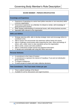# **BOARD MEMBER – PERSON SPECIFICIATION**

## **Knowledge and Experience**

- Experience of operating at a senior level (either executive or non executive) within a service organisation
- Governance experience, as a Member of a Board or similar, with knowledge of good governance practice
- Wide ranging understanding of commercial issues, with strong business acumen
- Specialist skills relevant to the organisation

## **Skills and Abilities**

- Strategic planning skills, able to develop strategic vision and encourage others to contribute to this
- Able to assess risk and promote risk awareness without being risk averse
- Able to challenge constructively while respecting the roles, views and feelings of others, with a wider vision to raise standards across the organisation
- Able to probe, assess and solve problems
- Able to understand complex factual and statistical information
- IT literate and comfortable with using MS Office and email

## **Personal Attributes**

- A commitment to the Code of Conduct
- A commitment to represent the interest of Cassiltoun Trust and not individual/or group interests
- To respect confidences
- To work as part of a team and make collective decisions

# **Time Commitment – The Trust meets 4 times per year**

- Time to attend meetings of the Board
- Available for ad hoc discussions and urgent business